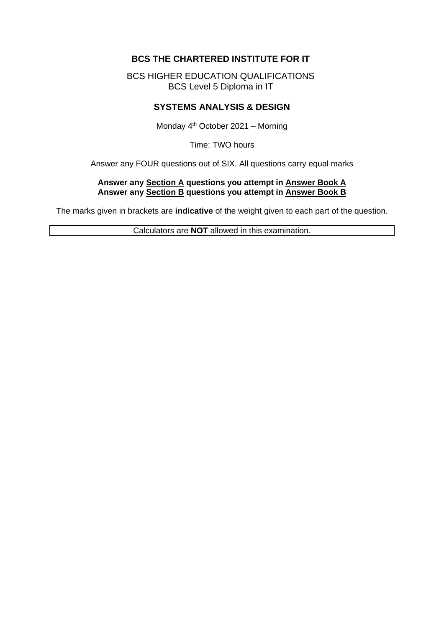# **BCS THE CHARTERED INSTITUTE FOR IT**

BCS HIGHER EDUCATION QUALIFICATIONS BCS Level 5 Diploma in IT

# **SYSTEMS ANALYSIS & DESIGN**

Monday 4<sup>th</sup> October 2021 – Morning

Time: TWO hours

Answer any FOUR questions out of SIX. All questions carry equal marks

#### **Answer any Section A questions you attempt in Answer Book A Answer any Section B questions you attempt in Answer Book B**

The marks given in brackets are **indicative** of the weight given to each part of the question.

Calculators are **NOT** allowed in this examination.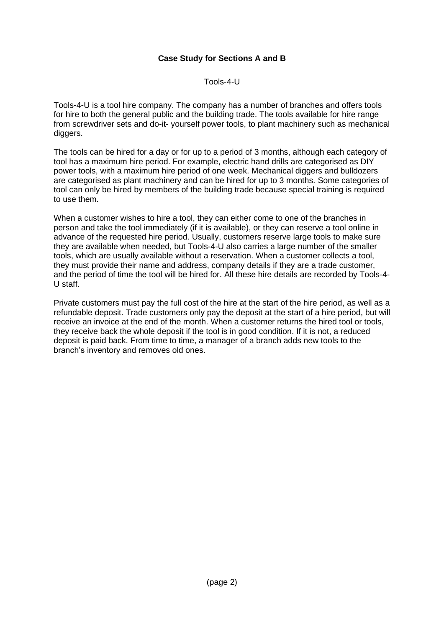# **Case Study for Sections A and B**

Tools-4-U

Tools-4-U is a tool hire company. The company has a number of branches and offers tools for hire to both the general public and the building trade. The tools available for hire range from screwdriver sets and do-it- yourself power tools, to plant machinery such as mechanical diggers.

The tools can be hired for a day or for up to a period of 3 months, although each category of tool has a maximum hire period. For example, electric hand drills are categorised as DIY power tools, with a maximum hire period of one week. Mechanical diggers and bulldozers are categorised as plant machinery and can be hired for up to 3 months. Some categories of tool can only be hired by members of the building trade because special training is required to use them.

When a customer wishes to hire a tool, they can either come to one of the branches in person and take the tool immediately (if it is available), or they can reserve a tool online in advance of the requested hire period. Usually, customers reserve large tools to make sure they are available when needed, but Tools-4-U also carries a large number of the smaller tools, which are usually available without a reservation. When a customer collects a tool, they must provide their name and address, company details if they are a trade customer, and the period of time the tool will be hired for. All these hire details are recorded by Tools-4- U staff.

Private customers must pay the full cost of the hire at the start of the hire period, as well as a refundable deposit. Trade customers only pay the deposit at the start of a hire period, but will receive an invoice at the end of the month. When a customer returns the hired tool or tools, they receive back the whole deposit if the tool is in good condition. If it is not, a reduced deposit is paid back. From time to time, a manager of a branch adds new tools to the branch's inventory and removes old ones.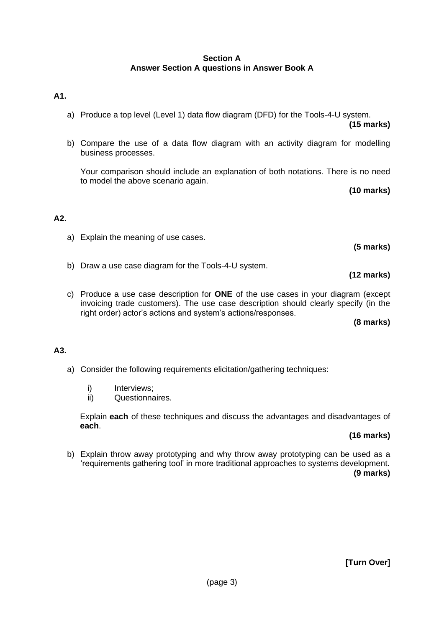### **Section A Answer Section A questions in Answer Book A**

### **A1.**

a) Produce a top level (Level 1) data flow diagram (DFD) for the Tools-4-U system.

**(15 marks)**

b) Compare the use of a data flow diagram with an activity diagram for modelling business processes.

Your comparison should include an explanation of both notations. There is no need to model the above scenario again.

**(10 marks)**

### **A2.**

a) Explain the meaning of use cases.

b) Draw a use case diagram for the Tools-4-U system.

**(12 marks)**

**(5 marks)**

c) Produce a use case description for **ONE** of the use cases in your diagram (except invoicing trade customers). The use case description should clearly specify (in the right order) actor's actions and system's actions/responses.

**(8 marks)**

# **A3.**

- a) Consider the following requirements elicitation/gathering techniques:
	- i) Interviews:
	- ii) Questionnaires.

Explain **each** of these techniques and discuss the advantages and disadvantages of **each**.

### **(16 marks)**

b) Explain throw away prototyping and why throw away prototyping can be used as a 'requirements gathering tool' in more traditional approaches to systems development. **(9 marks)**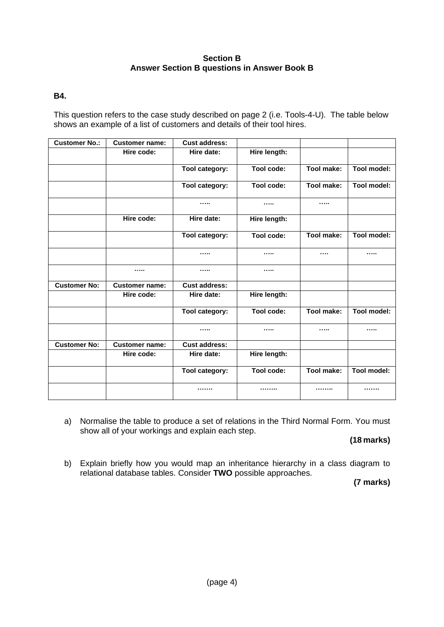### **Section B Answer Section B questions in Answer Book B**

### **B4.**

This question refers to the case study described on page 2 (i.e. Tools-4-U). The table below shows an example of a list of customers and details of their tool hires.

| <b>Customer No.:</b> | <b>Customer name:</b> | <b>Cust address:</b> |              |            |                    |
|----------------------|-----------------------|----------------------|--------------|------------|--------------------|
|                      | Hire code:            | Hire date:           | Hire length: |            |                    |
|                      |                       | Tool category:       | Tool code:   | Tool make: | <b>Tool model:</b> |
|                      |                       | Tool category:       | Tool code:   | Tool make: | <b>Tool model:</b> |
|                      |                       |                      |              |            |                    |
|                      | Hire code:            | Hire date:           | Hire length: |            |                    |
|                      |                       | Tool category:       | Tool code:   | Tool make: | Tool model:        |
|                      |                       |                      |              |            |                    |
|                      |                       |                      |              |            |                    |
| <b>Customer No:</b>  | <b>Customer name:</b> | <b>Cust address:</b> |              |            |                    |
|                      | Hire code:            | Hire date:           | Hire length: |            |                    |
|                      |                       | Tool category:       | Tool code:   | Tool make: | Tool model:        |
|                      |                       |                      |              |            |                    |
| <b>Customer No:</b>  | <b>Customer name:</b> | <b>Cust address:</b> |              |            |                    |
|                      | Hire code:            | Hire date:           | Hire length: |            |                    |
|                      |                       | Tool category:       | Tool code:   | Tool make: | Tool model:        |
|                      |                       |                      |              |            |                    |

a) Normalise the table to produce a set of relations in the Third Normal Form. You must show all of your workings and explain each step.

**(18 marks)**

b) Explain briefly how you would map an inheritance hierarchy in a class diagram to relational database tables. Consider **TWO** possible approaches.

**(7 marks)**